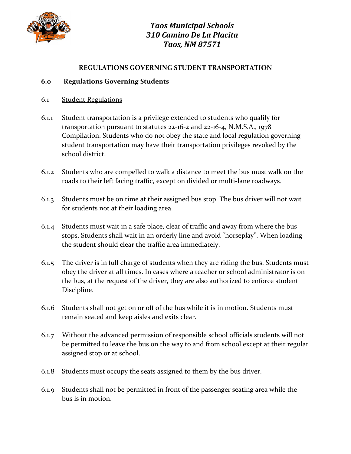

#### **REGULATIONS GOVERNING STUDENT TRANSPORTATION**

#### **6.0 Regulations Governing Students**

- 6.1 Student Regulations
- 6.1.1 Student transportation is a privilege extended to students who qualify for transportation pursuant to statutes 22-16-2 and 22-16-4, N.M.S.A., 1978 Compilation. Students who do not obey the state and local regulation governing student transportation may have their transportation privileges revoked by the school district.
- 6.1.2 Students who are compelled to walk a distance to meet the bus must walk on the roads to their left facing traffic, except on divided or multi-lane roadways.
- 6.1.3 Students must be on time at their assigned bus stop. The bus driver will not wait for students not at their loading area.
- 6.1.4 Students must wait in a safe place, clear of traffic and away from where the bus stops. Students shall wait in an orderly line and avoid "horseplay". When loading the student should clear the traffic area immediately.
- 6.1.5 The driver is in full charge of students when they are riding the bus. Students must obey the driver at all times. In cases where a teacher or school administrator is on the bus, at the request of the driver, they are also authorized to enforce student Discipline.
- 6.1.6 Students shall not get on or off of the bus while it is in motion. Students must remain seated and keep aisles and exits clear.
- 6.1.7 Without the advanced permission of responsible school officials students will not be permitted to leave the bus on the way to and from school except at their regular assigned stop or at school.
- 6.1.8 Students must occupy the seats assigned to them by the bus driver.
- 6.1.9 Students shall not be permitted in front of the passenger seating area while the bus is in motion.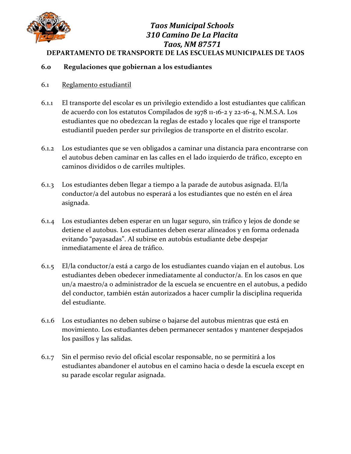

#### *Taos Municipal Schools 310 Camino De La Placita Taos, NM 87571* **DEPARTAMENTO DE TRANSPORTE DE LAS ESCUELAS MUNICIPALES DE TAOS**

#### **6.0 Regulaciones que gobiernan a los estudiantes**

- 6.1 Reglamento estudiantil
- 6.1.1 El transporte del escolar es un privilegio extendido a lost estudiantes que califican de acuerdo con los estatutos Compilados de 1978 11-16-2 y 22-16-4, N.M.S.A. Los estudiantes que no obedezcan la reglas de estado y locales que rige el transporte estudiantil pueden perder sur privilegios de transporte en el distrito escolar.
- 6.1.2 Los estudiantes que se ven obligados a caminar una distancia para encontrarse con el autobus deben caminar en las calles en el lado izquierdo de tráfico, excepto en caminos divididos o de carriles multiples.
- 6.1.3 Los estudiantes deben llegar a tiempo a la parade de autobus asignada. El/la conductor/a del autobus no esperará a los estudiantes que no estén en el área asignada.
- 6.1.4 Los estudiantes deben esperar en un lugar seguro, sin tráfico y lejos de donde se detiene el autobus. Los estudiantes deben eserar alíneados y en forma ordenada evitando "payasadas". Al subirse en autobús estudiante debe despejar inmediatamente el área de tráfico.
- 6.1.5 El/la conductor/a está a cargo de los estudiantes cuando viajan en el autobus. Los estudiantes deben obedecer inmediatamente al conductor/a. En los casos en que un/a maestro/a o administrador de la escuela se encuentre en el autobus, a pedido del conductor, también están autorizados a hacer cumplir la disciplina requerida del estudiante.
- 6.1.6 Los estudiantes no deben subirse o bajarse del autobus mientras que está en movimiento. Los estudiantes deben permanecer sentados y mantener despejados los pasillos y las salidas.
- 6.1.7 Sin el permiso revio del oficial escolar responsable, no se permitirá a los estudiantes abandoner el autobus en el camino hacia o desde la escuela except en su parade escolar regular asignada.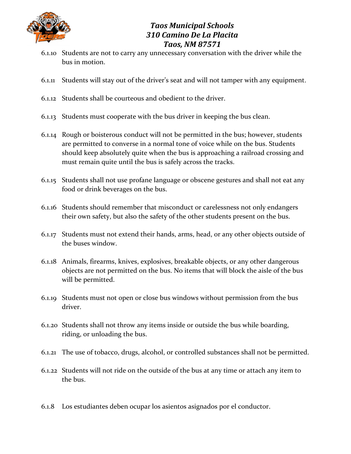

- 6.1.10 Students are not to carry any unnecessary conversation with the driver while the bus in motion.
- 6.1.11 Students will stay out of the driver's seat and will not tamper with any equipment.
- 6.1.12 Students shall be courteous and obedient to the driver.
- 6.1.13 Students must cooperate with the bus driver in keeping the bus clean.
- 6.1.14 Rough or boisterous conduct will not be permitted in the bus; however, students are permitted to converse in a normal tone of voice while on the bus. Students should keep absolutely quite when the bus is approaching a railroad crossing and must remain quite until the bus is safely across the tracks.
- 6.1.15 Students shall not use profane language or obscene gestures and shall not eat any food or drink beverages on the bus.
- 6.1.16 Students should remember that misconduct or carelessness not only endangers their own safety, but also the safety of the other students present on the bus.
- 6.1.17 Students must not extend their hands, arms, head, or any other objects outside of the buses window.
- 6.1.18 Animals, firearms, knives, explosives, breakable objects, or any other dangerous objects are not permitted on the bus. No items that will block the aisle of the bus will be permitted.
- 6.1.19 Students must not open or close bus windows without permission from the bus driver.
- 6.1.20 Students shall not throw any items inside or outside the bus while boarding, riding, or unloading the bus.
- 6.1.21 The use of tobacco, drugs, alcohol, or controlled substances shall not be permitted.
- 6.1.22 Students will not ride on the outside of the bus at any time or attach any item to the bus.
- 6.1.8 Los estudiantes deben ocupar los asientos asignados por el conductor.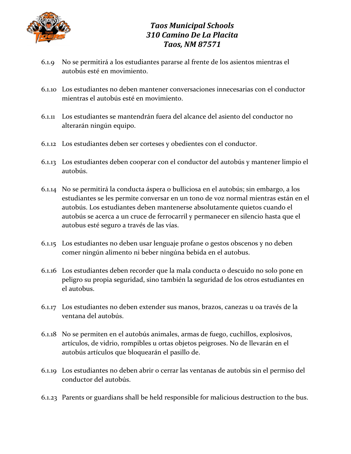

- 6.1.9 No se permitirá a los estudiantes pararse al frente de los asientos mientras el autobús esté en movimiento.
- 6.1.10 Los estudiantes no deben mantener conversaciones innecesarias con el conductor mientras el autobús esté en movimiento.
- 6.1.11 Los estudiantes se mantendrán fuera del alcance del asiento del conductor no alterarán ningún equipo.
- 6.1.12 Los estudiantes deben ser corteses y obedientes con el conductor.
- 6.1.13 Los estudiantes deben cooperar con el conductor del autobús y mantener limpio el autobús.
- 6.1.14 No se permitirá la conducta áspera o bulliciosa en el autobús; sin embargo, a los estudiantes se les permite conversar en un tono de voz normal mientras están en el autobús. Los estudiantes deben mantenerse absolutamente quietos cuando el autobús se acerca a un cruce de ferrocarril y permanecer en silencio hasta que el autobus esté seguro a través de las vías.
- 6.1.15 Los estudiantes no deben usar lenguaje profane o gestos obscenos y no deben comer ningún alimento ni beber ningúna bebida en el autobus.
- 6.1.16 Los estudiantes deben recorder que la mala conducta o descuido no solo pone en peligro su propia seguridad, sino también la seguridad de los otros estudiantes en el autobus.
- 6.1.17 Los estudiantes no deben extender sus manos, brazos, canezas u oa través de la ventana del autobús.
- 6.1.18 No se permiten en el autobús animales, armas de fuego, cuchillos, explosivos, artículos, de vidrio, rompibles u ortas objetos peigroses. No de llevarán en el autobús artículos que bloquearán el pasillo de.
- 6.1.19 Los estudiantes no deben abrir o cerrar las ventanas de autobús sin el permiso del conductor del autobús.
- 6.1.23 Parents or guardians shall be held responsible for malicious destruction to the bus.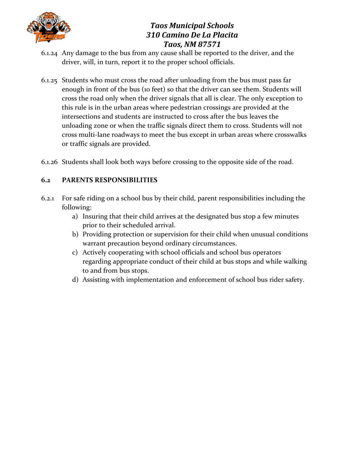

- 6.1.24 Any damage to the bus from any cause shall be reported to the driver, and the driver, will, in turn, report it to the proper school officials.
- 6.1.25 Students who must cross the road after unloading from the bus must pass far enough in front of the bus (10 feet) so that the driver can see them. Students will cross the road only when the driver signals that all is clear. The only exception to this rule is in the urban areas where pedestrian crossings are provided at the intersections and students are instructed to cross after the bus leaves the unloading zone or when the traffic signals direct them to cross. Students will not cross multi-lane roadways to meet the bus except in urban areas where crosswalks or traffic signals are provided.
- 6.1.26 Students shall look both ways before crossing to the opposite side of the road.

#### **6.2 PARENTS RESPONSIBILITIES**

- 6.2.1 For safe riding on a school bus by their child, parent responsibilities including the following:
	- a) Insuring that their child arrives at the designated bus stop a few minutes prior to their scheduled arrival.
	- b) Providing protection or supervision for their child when unusual conditions warrant precaution beyond ordinary circumstances.
	- c) Actively cooperating with school officials and school bus operators regarding appropriate conduct of their child at bus stops and while walking to and from bus stops.
	- d) Assisting with implementation and enforcement of school bus rider safety.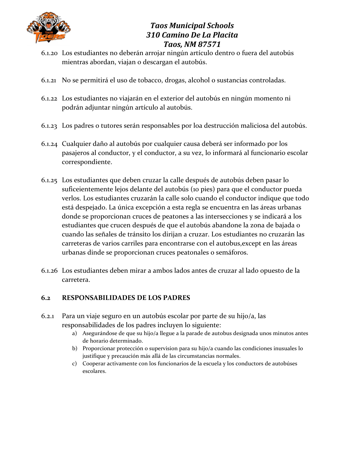

- 6.1.20 Los estudiantes no deberán arrojar ningún artículo dentro o fuera del autobús mientras abordan, viajan o descargan el autobús.
- 6.1.21 No se permitirá el uso de tobacco, drogas, alcohol o sustancias controladas.
- 6.1.22 Los estudiantes no viajarán en el exterior del autobús en ningún momento ni podrán adjuntar ningún artículo al autobús.
- 6.1.23 Los padres o tutores serán responsables por loa destrucción maliciosa del autobús.
- 6.1.24 Cualquier daño al autobús por cualquier causa deberá ser informado por los pasajeros al conductor, y el conductor, a su vez, lo informará al funcionario escolar correspondiente.
- 6.1.25 Los estudiantes que deben cruzar la calle después de autobús deben pasar lo suficeientemente lejos delante del autobús (10 pies) para que el conductor pueda verlos. Los estudiantes cruzarán la calle solo cuando el conductor indique que todo está despejado. La única excepción a esta regla se encuentra en las áreas urbanas donde se proporcionan cruces de peatones a las intersecciones y se indicará a los estudiantes que crucen después de que el autobús abandone la zona de bajada o cuando las señales de tránsito los dirijan a cruzar. Los estudiantes no cruzarán las carreteras de varios carriles para encontrarse con el autobus,except en las áreas urbanas dinde se proporcionan cruces peatonales o semáforos.
- 6.1.26 Los estudiantes deben mirar a ambos lados antes de cruzar al lado opuesto de la carretera.

#### **6.2 RESPONSABILIDADES DE LOS PADRES**

- 6.2.1 Para un viaje seguro en un autobús escolar por parte de su hijo/a, las responsabilidades de los padres incluyen lo siguiente:
	- a) Asegurándose de que su hijo/a llegue a la parade de autobus designada unos minutos antes de horario determinado.
	- b) Proporcionar protección o supervision para su hijo/a cuando las condiciones inusuales lo justifique y precaución más allá de las circumstancias normales.
	- c) Cooperar activamente con los funcionarios de la escuela y los conductors de autobúses escolares.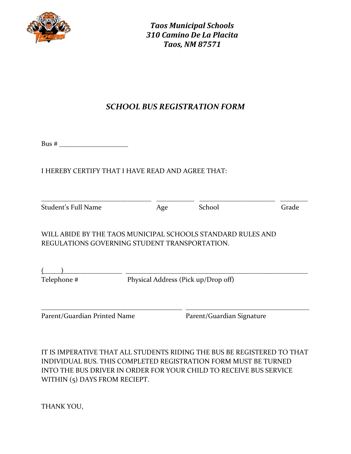

# *SCHOOL BUS REGISTRATION FORM*

| 31 I S<br>г<br>π |
|------------------|
|------------------|

### I HEREBY CERTIFY THAT I HAVE READ AND AGREE THAT:

| Student's Full Name                                                                                          | Age |  | School                              | Grade |  |
|--------------------------------------------------------------------------------------------------------------|-----|--|-------------------------------------|-------|--|
| WILL ABIDE BY THE TAOS MUNICIPAL SCHOOLS STANDARD RULES AND<br>REGULATIONS GOVERNING STUDENT TRANSPORTATION. |     |  |                                     |       |  |
| Telephone #                                                                                                  |     |  | Physical Address (Pick up/Drop off) |       |  |
|                                                                                                              |     |  |                                     |       |  |
| Parent/Guardian Printed Name                                                                                 |     |  | Parent/Guardian Signature           |       |  |

IT IS IMPERATIVE THAT ALL STUDENTS RIDING THE BUS BE REGISTERED TO THAT INDIVIDUAL BUS. THIS COMPLETED REGISTRATION FORM MUST BE TURNED INTO THE BUS DRIVER IN ORDER FOR YOUR CHILD TO RECEIVE BUS SERVICE WITHIN (5) DAYS FROM RECIEPT.

THANK YOU,